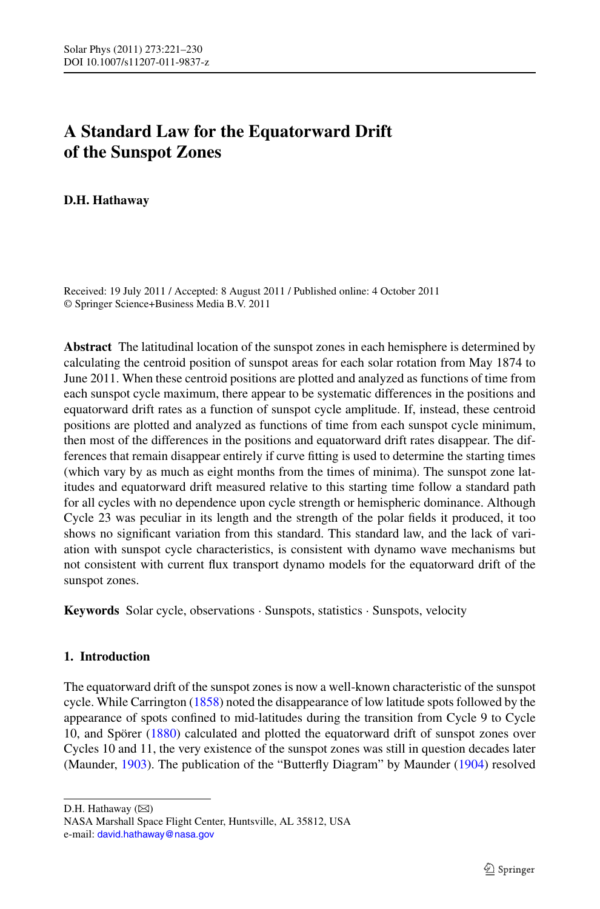# **A Standard Law for the Equatorward Drift of the Sunspot Zones**

## **D.H. Hathaway**

Received: 19 July 2011 / Accepted: 8 August 2011 / Published online: 4 October 2011 © Springer Science+Business Media B.V. 2011

**Abstract** The latitudinal location of the sunspot zones in each hemisphere is determined by calculating the centroid position of sunspot areas for each solar rotation from May 1874 to June 2011. When these centroid positions are plotted and analyzed as functions of time from each sunspot cycle maximum, there appear to be systematic differences in the positions and equatorward drift rates as a function of sunspot cycle amplitude. If, instead, these centroid positions are plotted and analyzed as functions of time from each sunspot cycle minimum, then most of the differences in the positions and equatorward drift rates disappear. The differences that remain disappear entirely if curve fitting is used to determine the starting times (which vary by as much as eight months from the times of minima). The sunspot zone latitudes and equatorward drift measured relative to this starting time follow a standard path for all cycles with no dependence upon cycle strength or hemispheric dominance. Although Cycle 23 was peculiar in its length and the strength of the polar fields it produced, it too shows no significant variation from this standard. This standard law, and the lack of variation with sunspot cycle characteristics, is consistent with dynamo wave mechanisms but not consistent with current flux transport dynamo models for the equatorward drift of the sunspot zones.

**Keywords** Solar cycle, observations · Sunspots, statistics · Sunspots, velocity

## **1. Introduction**

The equatorward drift of the sunspot zones is now a well-known characteristic of the sunspot cycle. While Carrington ([1858\)](#page-9-0) noted the disappearance of low latitude spots followed by the appearance of spots confined to mid-latitudes during the transition from Cycle 9 to Cycle 10, and Spörer [\(1880](#page-9-1)) calculated and plotted the equatorward drift of sunspot zones over Cycles 10 and 11, the very existence of the sunspot zones was still in question decades later (Maunder, [1903\)](#page-9-2). The publication of the "Butterfly Diagram" by Maunder ([1904\)](#page-9-3) resolved

 $D.H.$  Hathaway  $(\boxtimes)$ 

NASA Marshall Space Flight Center, Huntsville, AL 35812, USA

e-mail: [david.hathaway@nasa.gov](mailto:david.hathaway@nasa.gov)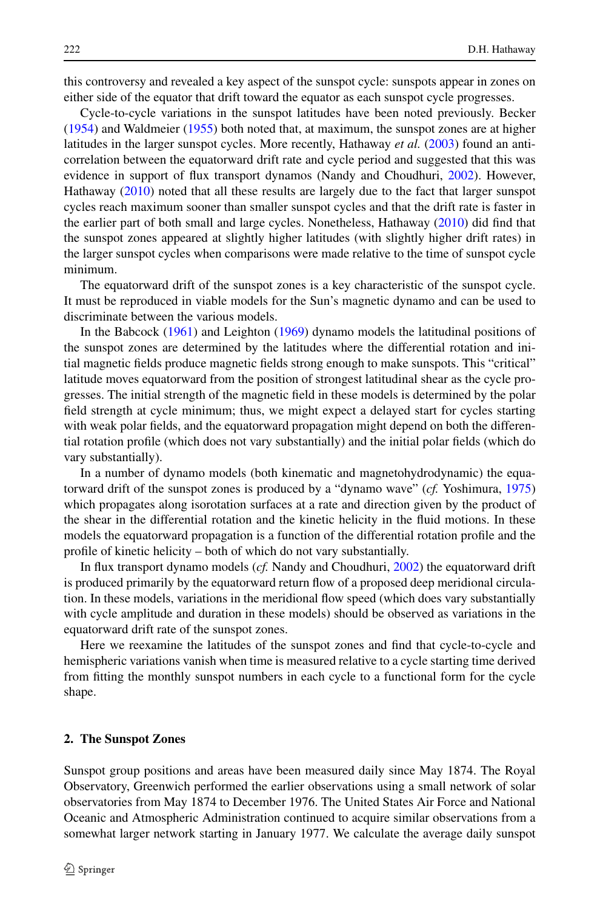this controversy and revealed a key aspect of the sunspot cycle: sunspots appear in zones on either side of the equator that drift toward the equator as each sunspot cycle progresses.

Cycle-to-cycle variations in the sunspot latitudes have been noted previously. Becker  $(1954)$  $(1954)$  and Waldmeier  $(1955)$  $(1955)$  both noted that, at maximum, the sunspot zones are at higher latitudes in the larger sunspot cycles. More recently, Hathaway *et al.* [\(2003](#page-9-6)) found an anticorrelation between the equatorward drift rate and cycle period and suggested that this was evidence in support of flux transport dynamos (Nandy and Choudhuri, [2002](#page-9-7)). However, Hathaway [\(2010\)](#page-9-8) noted that all these results are largely due to the fact that larger sunspot cycles reach maximum sooner than smaller sunspot cycles and that the drift rate is faster in the earlier part of both small and large cycles. Nonetheless, Hathaway  $(2010)$  $(2010)$  did find that the sunspot zones appeared at slightly higher latitudes (with slightly higher drift rates) in the larger sunspot cycles when comparisons were made relative to the time of sunspot cycle minimum.

The equatorward drift of the sunspot zones is a key characteristic of the sunspot cycle. It must be reproduced in viable models for the Sun's magnetic dynamo and can be used to discriminate between the various models.

In the Babcock ([1961\)](#page-9-9) and Leighton [\(1969\)](#page-9-10) dynamo models the latitudinal positions of the sunspot zones are determined by the latitudes where the differential rotation and initial magnetic fields produce magnetic fields strong enough to make sunspots. This "critical" latitude moves equatorward from the position of strongest latitudinal shear as the cycle progresses. The initial strength of the magnetic field in these models is determined by the polar field strength at cycle minimum; thus, we might expect a delayed start for cycles starting with weak polar fields, and the equatorward propagation might depend on both the differential rotation profile (which does not vary substantially) and the initial polar fields (which do vary substantially).

In a number of dynamo models (both kinematic and magnetohydrodynamic) the equatorward drift of the sunspot zones is produced by a "dynamo wave" (*cf.* Yoshimura, [1975](#page-9-11)) which propagates along isorotation surfaces at a rate and direction given by the product of the shear in the differential rotation and the kinetic helicity in the fluid motions. In these models the equatorward propagation is a function of the differential rotation profile and the profile of kinetic helicity – both of which do not vary substantially.

In flux transport dynamo models (*cf.* Nandy and Choudhuri, [2002](#page-9-7)) the equatorward drift is produced primarily by the equatorward return flow of a proposed deep meridional circulation. In these models, variations in the meridional flow speed (which does vary substantially with cycle amplitude and duration in these models) should be observed as variations in the equatorward drift rate of the sunspot zones.

Here we reexamine the latitudes of the sunspot zones and find that cycle-to-cycle and hemispheric variations vanish when time is measured relative to a cycle starting time derived from fitting the monthly sunspot numbers in each cycle to a functional form for the cycle shape.

#### **2. The Sunspot Zones**

Sunspot group positions and areas have been measured daily since May 1874. The Royal Observatory, Greenwich performed the earlier observations using a small network of solar observatories from May 1874 to December 1976. The United States Air Force and National Oceanic and Atmospheric Administration continued to acquire similar observations from a somewhat larger network starting in January 1977. We calculate the average daily sunspot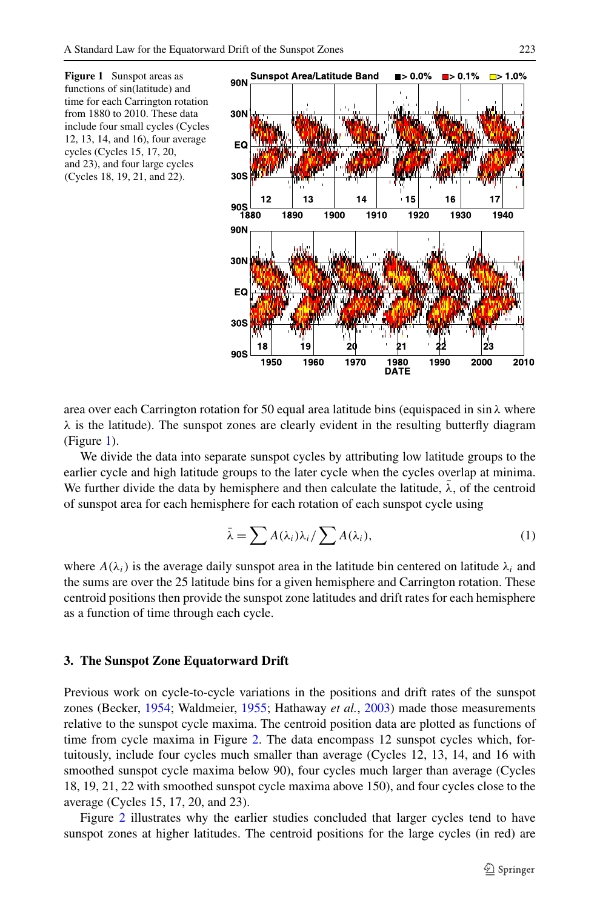<span id="page-2-0"></span>

area over each Carrington rotation for 50 equal area latitude bins (equispaced in sin*λ* where  $\lambda$  is the latitude). The sunspot zones are clearly evident in the resulting butterfly diagram (Figure [1\)](#page-2-0).

We divide the data into separate sunspot cycles by attributing low latitude groups to the earlier cycle and high latitude groups to the later cycle when the cycles overlap at minima. We further divide the data by hemisphere and then calculate the latitude,  $\bar{\lambda}$ , of the centroid of sunspot area for each hemisphere for each rotation of each sunspot cycle using

$$
\bar{\lambda} = \sum A(\lambda_i) \lambda_i / \sum A(\lambda_i), \tag{1}
$$

where  $A(\lambda_i)$  is the average daily sunspot area in the latitude bin centered on latitude  $\lambda_i$  and the sums are over the 25 latitude bins for a given hemisphere and Carrington rotation. These centroid positions then provide the sunspot zone latitudes and drift rates for each hemisphere as a function of time through each cycle.

#### **3. The Sunspot Zone Equatorward Drift**

Previous work on cycle-to-cycle variations in the positions and drift rates of the sunspot zones (Becker, [1954;](#page-9-4) Waldmeier, [1955;](#page-9-5) Hathaway *et al.*, [2003\)](#page-9-6) made those measurements relative to the sunspot cycle maxima. The centroid position data are plotted as functions of time from cycle maxima in Figure [2.](#page-3-0) The data encompass 12 sunspot cycles which, fortuitously, include four cycles much smaller than average (Cycles 12, 13, 14, and 16 with smoothed sunspot cycle maxima below 90), four cycles much larger than average (Cycles 18, 19, 21, 22 with smoothed sunspot cycle maxima above 150), and four cycles close to the average (Cycles 15, 17, 20, and 23).

Figure [2](#page-3-0) illustrates why the earlier studies concluded that larger cycles tend to have sunspot zones at higher latitudes. The centroid positions for the large cycles (in red) are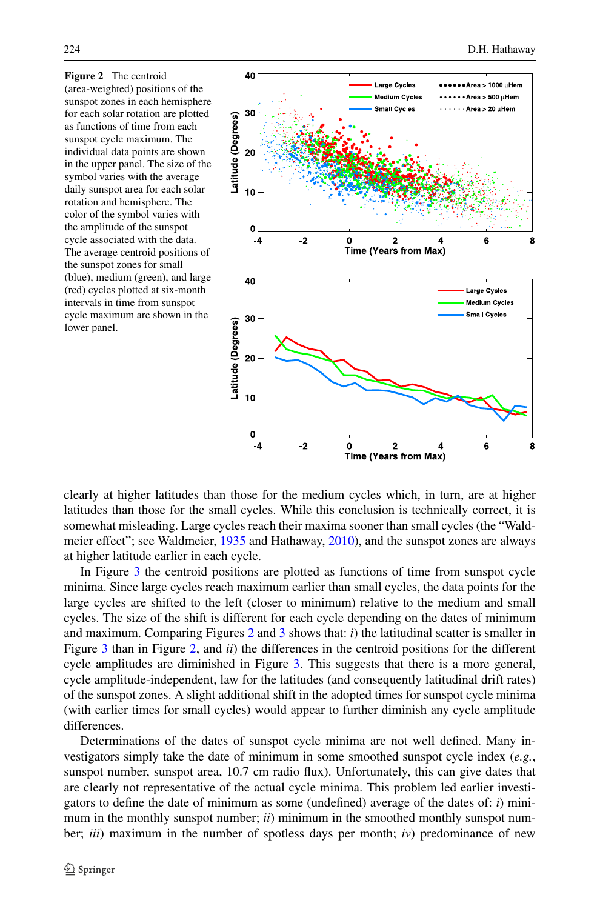<span id="page-3-0"></span>



clearly at higher latitudes than those for the medium cycles which, in turn, are at higher latitudes than those for the small cycles. While this conclusion is technically correct, it is somewhat misleading. Large cycles reach their maxima sooner than small cycles (the "Waldmeier effect"; see Waldmeier, [1935](#page-9-12) and Hathaway, [2010\)](#page-9-8), and the sunspot zones are always at higher latitude earlier in each cycle.

In Figure [3](#page-4-0) the centroid positions are plotted as functions of time from sunspot cycle minima. Since large cycles reach maximum earlier than small cycles, the data points for the large cycles are shifted to the left (closer to minimum) relative to the medium and small cycles. The size of the shift is different for each cycle depending on the dates of minimum and maximum. Comparing Figures [2](#page-3-0) and [3](#page-4-0) shows that:  $i$ ) the latitudinal scatter is smaller in Figure [3](#page-4-0) than in Figure [2,](#page-3-0) and *ii*) the differences in the centroid positions for the different cycle amplitudes are diminished in Figure [3.](#page-4-0) This suggests that there is a more general, cycle amplitude-independent, law for the latitudes (and consequently latitudinal drift rates) of the sunspot zones. A slight additional shift in the adopted times for sunspot cycle minima (with earlier times for small cycles) would appear to further diminish any cycle amplitude differences.

Determinations of the dates of sunspot cycle minima are not well defined. Many investigators simply take the date of minimum in some smoothed sunspot cycle index (*e.g.*, sunspot number, sunspot area, 10.7 cm radio flux). Unfortunately, this can give dates that are clearly not representative of the actual cycle minima. This problem led earlier investigators to define the date of minimum as some (undefined) average of the dates of: *i*) minimum in the monthly sunspot number; *ii*) minimum in the smoothed monthly sunspot number; *iii*) maximum in the number of spotless days per month; *iv*) predominance of new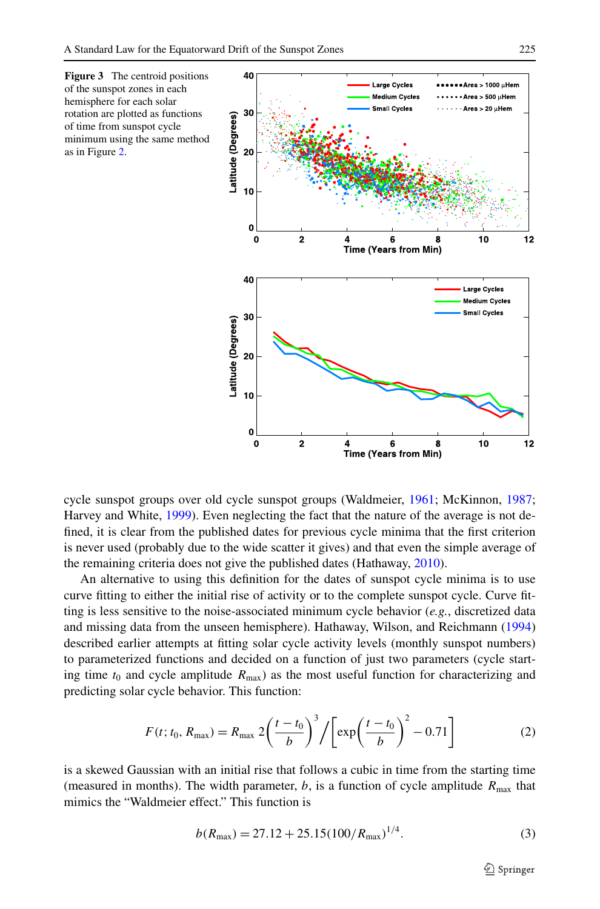<span id="page-4-0"></span>

cycle sunspot groups over old cycle sunspot groups (Waldmeier, [1961;](#page-9-13) McKinnon, [1987;](#page-9-14) Harvey and White, [1999](#page-9-15)). Even neglecting the fact that the nature of the average is not defined, it is clear from the published dates for previous cycle minima that the first criterion is never used (probably due to the wide scatter it gives) and that even the simple average of the remaining criteria does not give the published dates (Hathaway, [2010](#page-9-8)).

An alternative to using this definition for the dates of sunspot cycle minima is to use curve fitting to either the initial rise of activity or to the complete sunspot cycle. Curve fitting is less sensitive to the noise-associated minimum cycle behavior (*e.g.*, discretized data and missing data from the unseen hemisphere). Hathaway, Wilson, and Reichmann [\(1994](#page-9-16)) described earlier attempts at fitting solar cycle activity levels (monthly sunspot numbers) to parameterized functions and decided on a function of just two parameters (cycle starting time  $t_0$  and cycle amplitude  $R_{\text{max}}$ ) as the most useful function for characterizing and predicting solar cycle behavior. This function:

$$
F(t; t_0, R_{\text{max}}) = R_{\text{max}} 2\left(\frac{t - t_0}{b}\right)^3 / \left[\exp\left(\frac{t - t_0}{b}\right)^2 - 0.71\right]
$$
 (2)

is a skewed Gaussian with an initial rise that follows a cubic in time from the starting time (measured in months). The width parameter,  $b$ , is a function of cycle amplitude  $R_{\text{max}}$  that mimics the "Waldmeier effect." This function is

$$
b(R_{\text{max}}) = 27.12 + 25.15(100/R_{\text{max}})^{1/4}.
$$
 (3)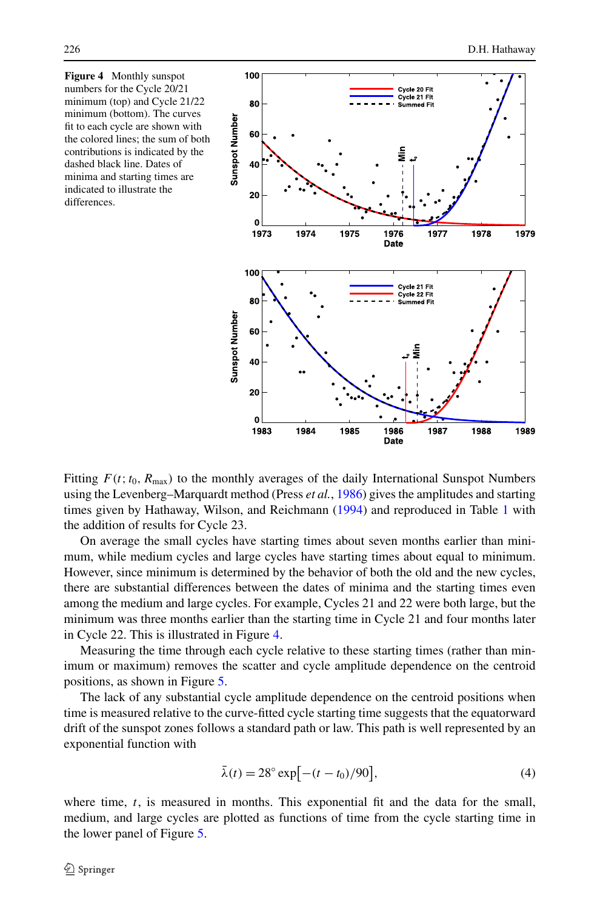<span id="page-5-0"></span>



Fitting  $F(t; t_0, R_{\text{max}})$  to the monthly averages of the daily International Sunspot Numbers using the Levenberg–Marquardt method (Press *et al.*, [1986\)](#page-9-17) gives the amplitudes and starting times given by Hathaway, Wilson, and Reichmann [\(1994\)](#page-9-16) and reproduced in Table [1](#page-6-0) with the addition of results for Cycle 23.

On average the small cycles have starting times about seven months earlier than minimum, while medium cycles and large cycles have starting times about equal to minimum. However, since minimum is determined by the behavior of both the old and the new cycles, there are substantial differences between the dates of minima and the starting times even among the medium and large cycles. For example, Cycles 21 and 22 were both large, but the minimum was three months earlier than the starting time in Cycle 21 and four months later in Cycle 22. This is illustrated in Figure [4.](#page-5-0)

<span id="page-5-1"></span>Measuring the time through each cycle relative to these starting times (rather than minimum or maximum) removes the scatter and cycle amplitude dependence on the centroid positions, as shown in Figure [5](#page-6-1).

The lack of any substantial cycle amplitude dependence on the centroid positions when time is measured relative to the curve-fitted cycle starting time suggests that the equatorward drift of the sunspot zones follows a standard path or law. This path is well represented by an exponential function with

$$
\bar{\lambda}(t) = 28^{\circ} \exp[-(t - t_0)/90],
$$
\n(4)

where time, *t*, is measured in months. This exponential fit and the data for the small, medium, and large cycles are plotted as functions of time from the cycle starting time in the lower panel of Figure [5](#page-6-1).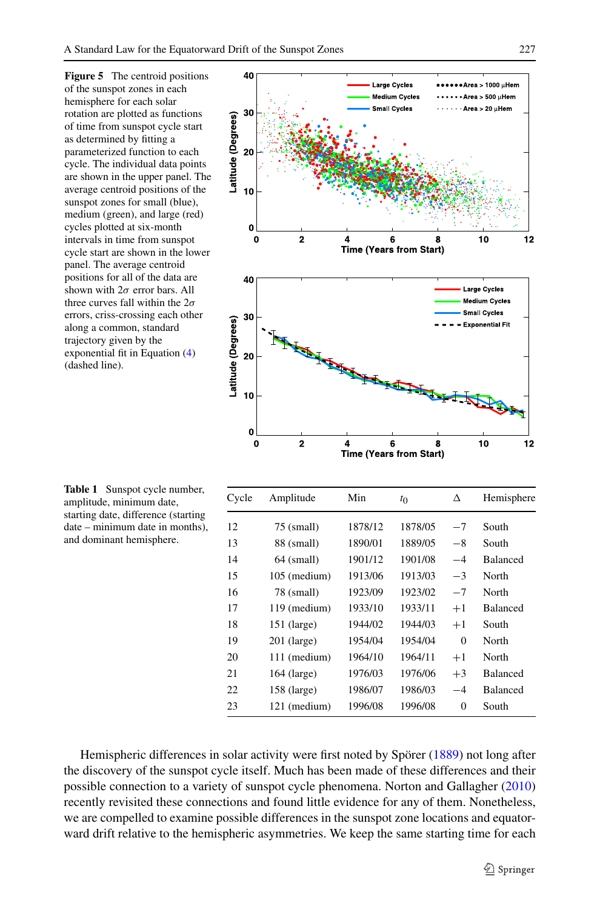<span id="page-6-1"></span>**Figure 5** The centroid positions of the sunspot zones in each hemisphere for each solar rotation are plotted as functions of time from sunspot cycle start as determined by fitting a parameterized function to each cycle. The individual data points are shown in the upper panel. The average centroid positions of the sunspot zones for small (blue), medium (green), and large (red) cycles plotted at six-month intervals in time from sunspot cycle start are shown in the lower panel. The average centroid positions for all of the data are shown with 2*σ* error bars. All three curves fall within the 2*σ* errors, criss-crossing each other along a common, standard trajectory given by the exponential fit in Equation ([4\)](#page-5-1) (dashed line).



| Cycle | Amplitude     | Min     | $t_{\rm 0}$ | Δ        | Hemisphere      |
|-------|---------------|---------|-------------|----------|-----------------|
| 12    | 75 (small)    | 1878/12 | 1878/05     | $-7$     | South           |
| 13    | 88 (small)    | 1890/01 | 1889/05     | $-8$     | South           |
| 14    | $64$ (small)  | 1901/12 | 1901/08     | $-4$     | <b>Balanced</b> |
| 15    | 105 (medium)  | 1913/06 | 1913/03     | $-3$     | North           |
| 16    | 78 (small)    | 1923/09 | 1923/02     | $-7$     | North           |
| 17    | 119 (medium)  | 1933/10 | 1933/11     | $+1$     | <b>Balanced</b> |
| 18    | $151$ (large) | 1944/02 | 1944/03     | $+1$     | South           |
| 19    | $201$ (large) | 1954/04 | 1954/04     | $\Omega$ | North           |
| 20    | 111 (medium)  | 1964/10 | 1964/11     | $+1$     | North           |
| 21    | $164$ (large) | 1976/03 | 1976/06     | $+3$     | <b>Balanced</b> |
| 22    | $158$ (large) | 1986/07 | 1986/03     | $-4$     | <b>Balanced</b> |
| 23    | 121 (medium)  | 1996/08 | 1996/08     | $\theta$ | South           |

<span id="page-6-0"></span>**Table 1** Sunspot cycle number, amplitude, minimum date, starting date, difference (starting date – minimum date in months), and dominant hemisphere.

Hemispheric differences in solar activity were first noted by Spörer [\(1889](#page-9-18)) not long after the discovery of the sunspot cycle itself. Much has been made of these differences and their possible connection to a variety of sunspot cycle phenomena. Norton and Gallagher [\(2010](#page-9-19)) recently revisited these connections and found little evidence for any of them. Nonetheless, we are compelled to examine possible differences in the sunspot zone locations and equatorward drift relative to the hemispheric asymmetries. We keep the same starting time for each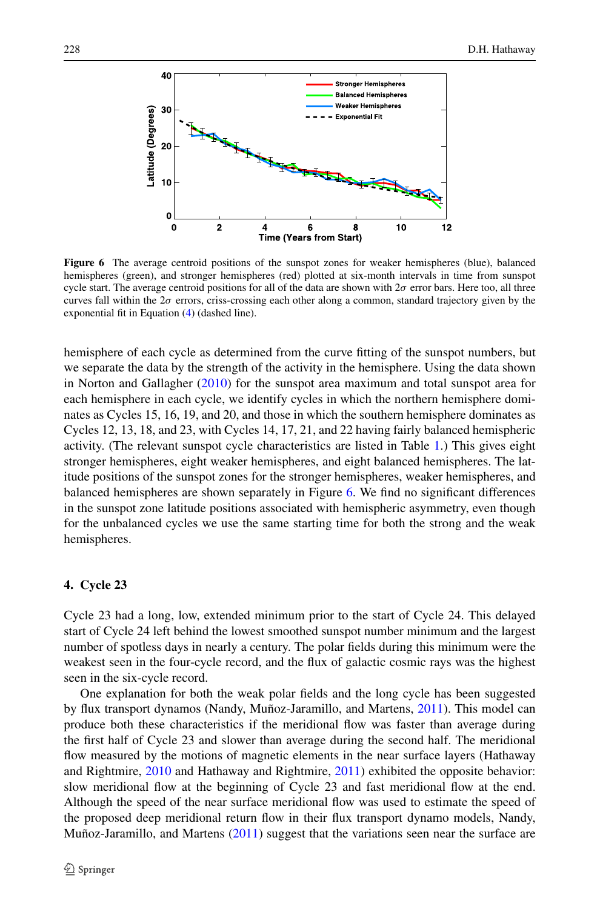

<span id="page-7-0"></span>**Figure 6** The average centroid positions of the sunspot zones for weaker hemispheres (blue), balanced hemispheres (green), and stronger hemispheres (red) plotted at six-month intervals in time from sunspot cycle start. The average centroid positions for all of the data are shown with 2*σ* error bars. Here too, all three curves fall within the 2*σ* errors, criss-crossing each other along a common, standard trajectory given by the exponential fit in Equation [\(4](#page-5-1)) (dashed line).

hemisphere of each cycle as determined from the curve fitting of the sunspot numbers, but we separate the data by the strength of the activity in the hemisphere. Using the data shown in Norton and Gallagher ([2010](#page-9-19)) for the sunspot area maximum and total sunspot area for each hemisphere in each cycle, we identify cycles in which the northern hemisphere dominates as Cycles 15, 16, 19, and 20, and those in which the southern hemisphere dominates as Cycles 12, 13, 18, and 23, with Cycles 14, 17, 21, and 22 having fairly balanced hemispheric activity. (The relevant sunspot cycle characteristics are listed in Table [1.](#page-6-0)) This gives eight stronger hemispheres, eight weaker hemispheres, and eight balanced hemispheres. The latitude positions of the sunspot zones for the stronger hemispheres, weaker hemispheres, and balanced hemispheres are shown separately in Figure [6](#page-7-0). We find no significant differences in the sunspot zone latitude positions associated with hemispheric asymmetry, even though for the unbalanced cycles we use the same starting time for both the strong and the weak hemispheres.

### **4. Cycle 23**

Cycle 23 had a long, low, extended minimum prior to the start of Cycle 24. This delayed start of Cycle 24 left behind the lowest smoothed sunspot number minimum and the largest number of spotless days in nearly a century. The polar fields during this minimum were the weakest seen in the four-cycle record, and the flux of galactic cosmic rays was the highest seen in the six-cycle record.

One explanation for both the weak polar fields and the long cycle has been suggested by flux transport dynamos (Nandy, Muñoz-Jaramillo, and Martens, [2011\)](#page-9-20). This model can produce both these characteristics if the meridional flow was faster than average during the first half of Cycle 23 and slower than average during the second half. The meridional flow measured by the motions of magnetic elements in the near surface layers (Hathaway and Rightmire, [2010](#page-9-21) and Hathaway and Rightmire, [2011](#page-9-22)) exhibited the opposite behavior: slow meridional flow at the beginning of Cycle 23 and fast meridional flow at the end. Although the speed of the near surface meridional flow was used to estimate the speed of the proposed deep meridional return flow in their flux transport dynamo models, Nandy, Muñoz-Jaramillo, and Martens ([2011\)](#page-9-20) suggest that the variations seen near the surface are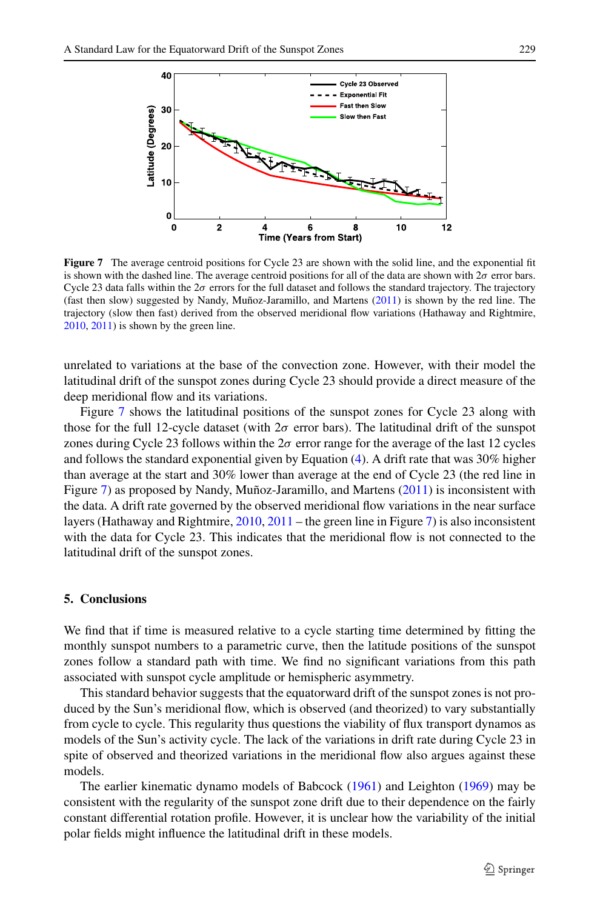

<span id="page-8-0"></span>**Figure 7** The average centroid positions for Cycle 23 are shown with the solid line, and the exponential fit is shown with the dashed line. The average centroid positions for all of the data are shown with  $2\sigma$  error bars. Cycle 23 data falls within the 2*σ* errors for the full dataset and follows the standard trajectory. The trajectory (fast then slow) suggested by Nandy, Muñoz-Jaramillo, and Martens [\(2011](#page-9-20)) is shown by the red line. The trajectory (slow then fast) derived from the observed meridional flow variations (Hathaway and Rightmire, [2010,](#page-9-21) [2011\)](#page-9-22) is shown by the green line.

unrelated to variations at the base of the convection zone. However, with their model the latitudinal drift of the sunspot zones during Cycle 23 should provide a direct measure of the deep meridional flow and its variations.

Figure [7](#page-8-0) shows the latitudinal positions of the sunspot zones for Cycle 23 along with those for the full 12-cycle dataset (with  $2\sigma$  error bars). The latitudinal drift of the sunspot zones during Cycle 23 follows within the 2*σ* error range for the average of the last 12 cycles and follows the standard exponential given by Equation [\(4\)](#page-5-1). A drift rate that was 30% higher than average at the start and 30% lower than average at the end of Cycle 23 (the red line in Figure [7\)](#page-8-0) as proposed by Nandy, Muñoz-Jaramillo, and Martens [\(2011\)](#page-9-20) is inconsistent with the data. A drift rate governed by the observed meridional flow variations in the near surface layers (Hathaway and Rightmire, [2010,](#page-9-21) [2011](#page-9-22) – the green line in Figure [7\)](#page-8-0) is also inconsistent with the data for Cycle 23. This indicates that the meridional flow is not connected to the latitudinal drift of the sunspot zones.

## **5. Conclusions**

We find that if time is measured relative to a cycle starting time determined by fitting the monthly sunspot numbers to a parametric curve, then the latitude positions of the sunspot zones follow a standard path with time. We find no significant variations from this path associated with sunspot cycle amplitude or hemispheric asymmetry.

This standard behavior suggests that the equatorward drift of the sunspot zones is not produced by the Sun's meridional flow, which is observed (and theorized) to vary substantially from cycle to cycle. This regularity thus questions the viability of flux transport dynamos as models of the Sun's activity cycle. The lack of the variations in drift rate during Cycle 23 in spite of observed and theorized variations in the meridional flow also argues against these models.

The earlier kinematic dynamo models of Babcock [\(1961](#page-9-9)) and Leighton [\(1969](#page-9-10)) may be consistent with the regularity of the sunspot zone drift due to their dependence on the fairly constant differential rotation profile. However, it is unclear how the variability of the initial polar fields might influence the latitudinal drift in these models.